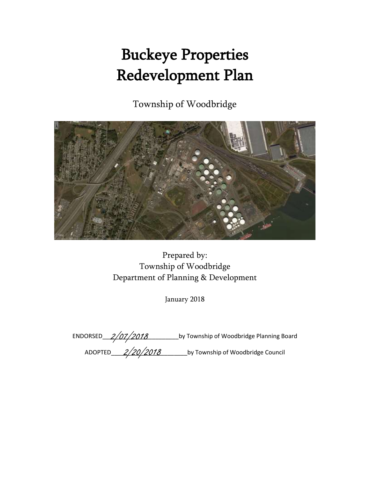# Buckeye Properties Redevelopment Plan

Township of Woodbridge



Prepared by: Township of Woodbridge Department of Planning & Development

January 2018

|                | ENDORSED_2/07/2018 | by Township of Woodbridge Planning Board |
|----------------|--------------------|------------------------------------------|
| <b>ADOPTED</b> | 2/20/2018          | by Township of Woodbridge Council        |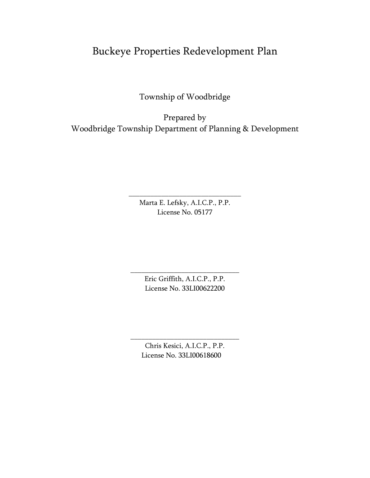# Buckeye Properties Redevelopment Plan

Township of Woodbridge

Prepared by Woodbridge Township Department of Planning & Development

> Marta E. Lefsky, A.I.C.P., P.P. License No. 05177

\_\_\_\_\_\_\_\_\_\_\_\_\_\_\_\_\_\_\_\_\_\_\_\_\_\_\_\_\_\_\_

Eric Griffith, A.I.C.P., P.P. License No. 33LI00622200

\_\_\_\_\_\_\_\_\_\_\_\_\_\_\_\_\_\_\_\_\_\_\_\_\_\_\_\_\_\_

Chris Kesici, A.I.C.P., P.P. License No. 33LI00618600

\_\_\_\_\_\_\_\_\_\_\_\_\_\_\_\_\_\_\_\_\_\_\_\_\_\_\_\_\_\_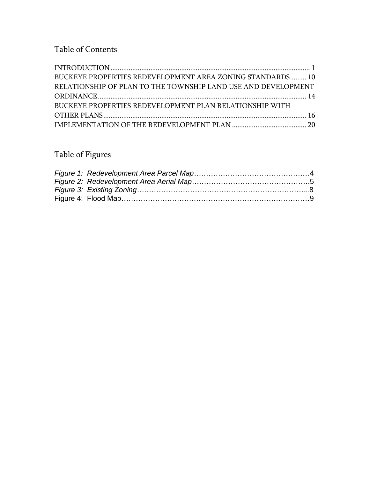# Table of Contents

| <b>BUCKEYE PROPERTIES REDEVELOPMENT AREA ZONING STANDARDS 10</b> |  |
|------------------------------------------------------------------|--|
| RELATIONSHIP OF PLAN TO THE TOWNSHIP LAND USE AND DEVELOPMENT    |  |
|                                                                  |  |
| BUCKEYE PROPERTIES REDEVELOPMENT PLAN RELATIONSHIP WITH          |  |
|                                                                  |  |
|                                                                  |  |

# Table of Figures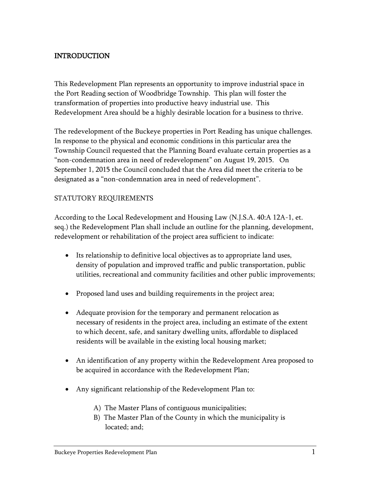# <span id="page-3-0"></span>INTRODUCTION

This Redevelopment Plan represents an opportunity to improve industrial space in the Port Reading section of Woodbridge Township. This plan will foster the transformation of properties into productive heavy industrial use. This Redevelopment Area should be a highly desirable location for a business to thrive.

The redevelopment of the Buckeye properties in Port Reading has unique challenges. In response to the physical and economic conditions in this particular area the Township Council requested that the Planning Board evaluate certain properties as a "non-condemnation area in need of redevelopment" on August 19, 2015. On September 1, 2015 the Council concluded that the Area did meet the criteria to be designated as a "non-condemnation area in need of redevelopment".

#### STATUTORY REQUIREMENTS

According to the Local Redevelopment and Housing Law (N.J.S.A. 40:A 12A-1, et. seq.) the Redevelopment Plan shall include an outline for the planning, development, redevelopment or rehabilitation of the project area sufficient to indicate:

- Its relationship to definitive local objectives as to appropriate land uses, density of population and improved traffic and public transportation, public utilities, recreational and community facilities and other public improvements;
- Proposed land uses and building requirements in the project area;
- Adequate provision for the temporary and permanent relocation as necessary of residents in the project area, including an estimate of the extent to which decent, safe, and sanitary dwelling units, affordable to displaced residents will be available in the existing local housing market;
- An identification of any property within the Redevelopment Area proposed to be acquired in accordance with the Redevelopment Plan;
- Any significant relationship of the Redevelopment Plan to:
	- A) The Master Plans of contiguous municipalities;
	- B) The Master Plan of the County in which the municipality is located; and;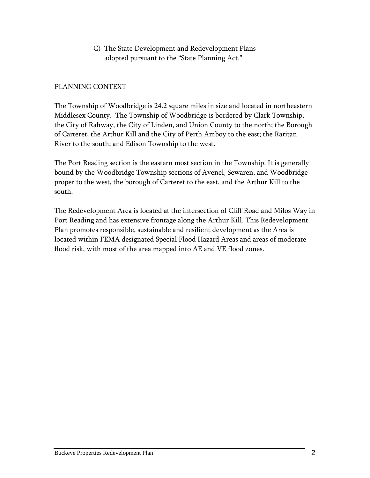C) The State Development and Redevelopment Plans adopted pursuant to the "State Planning Act."

#### PLANNING CONTEXT

The Township of Woodbridge is 24.2 square miles in size and located in northeastern Middlesex County. The Township of Woodbridge is bordered by Clark Township, the City of Rahway, the City of Linden, and Union County to the north; the Borough of Carteret, the Arthur Kill and the City of Perth Amboy to the east; the Raritan River to the south; and Edison Township to the west.

The Port Reading section is the eastern most section in the Township. It is generally bound by the Woodbridge Township sections of Avenel, Sewaren, and Woodbridge proper to the west, the borough of Carteret to the east, and the Arthur Kill to the south.

The Redevelopment Area is located at the intersection of Cliff Road and Milos Way in Port Reading and has extensive frontage along the Arthur Kill. This Redevelopment Plan promotes responsible, sustainable and resilient development as the Area is located within FEMA designated Special Flood Hazard Areas and areas of moderate flood risk, with most of the area mapped into AE and VE flood zones.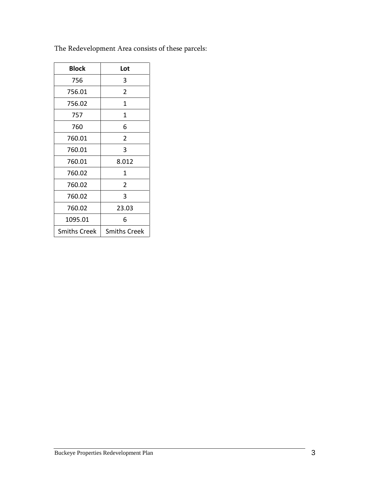| <b>Block</b>        | Lot                 |
|---------------------|---------------------|
| 756                 | 3                   |
| 756.01              | 2                   |
| 756.02              | 1                   |
| 757                 | 1                   |
| 760                 | 6                   |
| 760.01              | 2                   |
| 760.01              | 3                   |
| 760.01              | 8.012               |
| 760.02              | 1                   |
| 760.02              | 2                   |
| 760.02              | 3                   |
| 760.02              | 23.03               |
| 1095.01             | 6                   |
| <b>Smiths Creek</b> | <b>Smiths Creek</b> |

The Redevelopment Area consists of these parcels: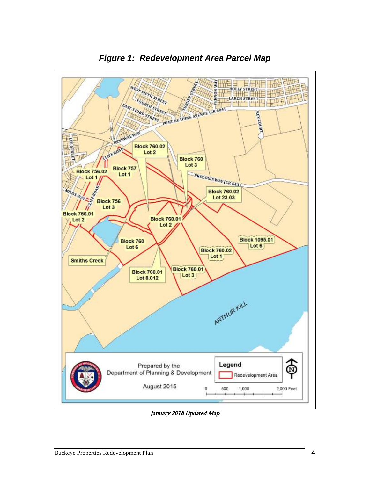<span id="page-6-0"></span>

*Figure 1: Redevelopment Area Parcel Map*

<span id="page-6-1"></span>January 2018 Updated Map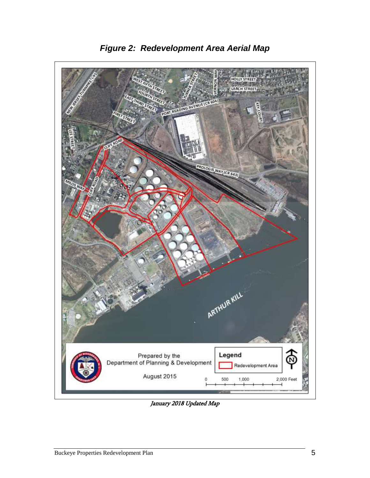![](_page_7_Picture_0.jpeg)

*Figure 2: Redevelopment Area Aerial Map*

January 2018 Updated Map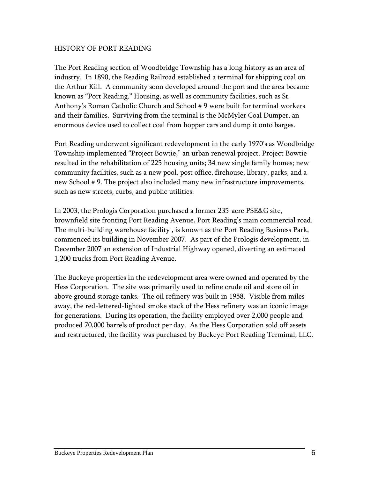#### HISTORY OF PORT READING

The Port Reading section of Woodbridge Township has a long history as an area of industry. In 1890, the Reading Railroad established a terminal for shipping coal on the Arthur Kill. A community soon developed around the port and the area became known as "Port Reading." Housing, as well as community facilities, such as St. Anthony's Roman Catholic Church and School # 9 were built for terminal workers and their families. Surviving from the terminal is the McMyler Coal Dumper, an enormous device used to collect coal from hopper cars and dump it onto barges.

Port Reading underwent significant redevelopment in the early 1970's as Woodbridge Township implemented "Project Bowtie," an urban renewal project. Project Bowtie resulted in the rehabilitation of 225 housing units; 34 new single family homes; new community facilities, such as a new pool, post office, firehouse, library, parks, and a new School # 9. The project also included many new infrastructure improvements, such as new streets, curbs, and public utilities.

In 2003, the Prologis Corporation purchased a former 235-acre PSE&G site, brownfield site fronting Port Reading Avenue, Port Reading's main commercial road. The multi-building warehouse facility , is known as the Port Reading Business Park, commenced its building in November 2007. As part of the Prologis development, in December 2007 an extension of Industrial Highway opened, diverting an estimated 1,200 trucks from Port Reading Avenue.

The Buckeye properties in the redevelopment area were owned and operated by the Hess Corporation. The site was primarily used to refine crude oil and store oil in above ground storage tanks. The oil refinery was built in 1958. Visible from miles away, the red-lettered-lighted smoke stack of the Hess refinery was an iconic image for generations. During its operation, the facility employed over 2,000 people and produced 70,000 barrels of product per day. As the Hess Corporation sold off assets and restructured, the facility was purchased by Buckeye Port Reading Terminal, LLC.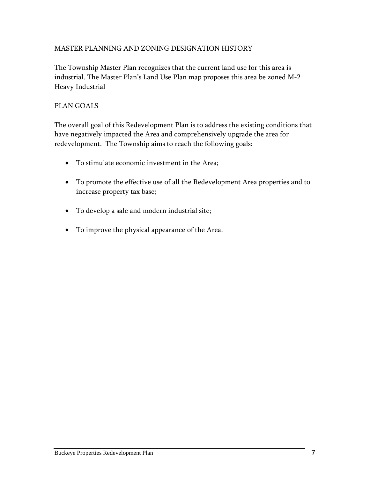## MASTER PLANNING AND ZONING DESIGNATION HISTORY

The Township Master Plan recognizes that the current land use for this area is industrial. The Master Plan's Land Use Plan map proposes this area be zoned M-2 Heavy Industrial

## PLAN GOALS

The overall goal of this Redevelopment Plan is to address the existing conditions that have negatively impacted the Area and comprehensively upgrade the area for redevelopment. The Township aims to reach the following goals:

- To stimulate economic investment in the Area;
- To promote the effective use of all the Redevelopment Area properties and to increase property tax base;
- To develop a safe and modern industrial site;
- To improve the physical appearance of the Area.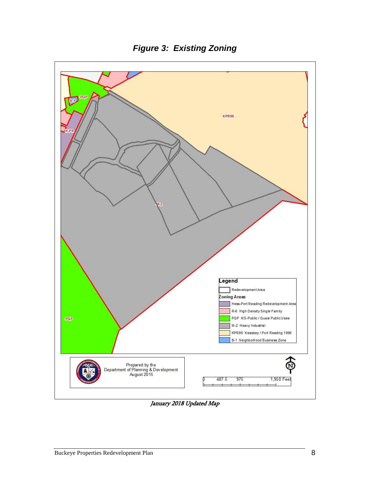<span id="page-10-0"></span>![](_page_10_Figure_0.jpeg)

*Figure 3: Existing Zoning*

January 2018 Updated Map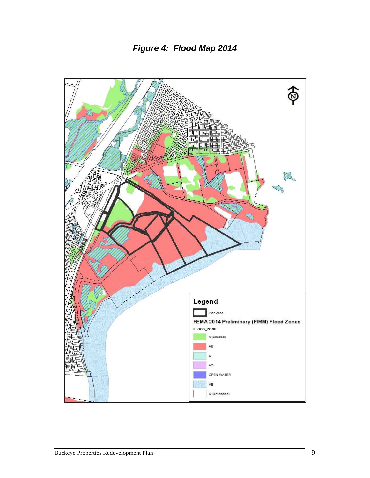![](_page_11_Figure_1.jpeg)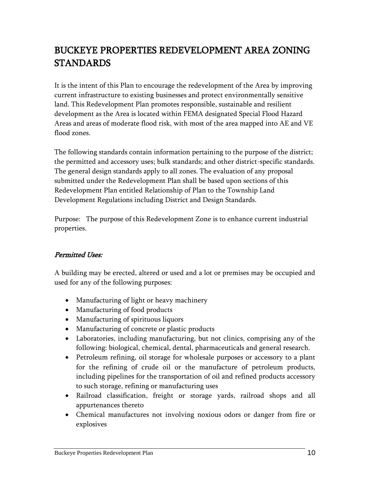# <span id="page-12-0"></span>BUCKEYE PROPERTIES REDEVELOPMENT AREA ZONING STANDARDS

It is the intent of this Plan to encourage the redevelopment of the Area by improving current infrastructure to existing businesses and protect environmentally sensitive land. This Redevelopment Plan promotes responsible, sustainable and resilient development as the Area is located within FEMA designated Special Flood Hazard Areas and areas of moderate flood risk, with most of the area mapped into AE and VE flood zones.

The following standards contain information pertaining to the purpose of the district; the permitted and accessory uses; bulk standards; and other district-specific standards. The general design standards apply to all zones. The evaluation of any proposal submitted under the Redevelopment Plan shall be based upon sections of this Redevelopment Plan entitled Relationship of Plan to the Township Land Development Regulations including District and Design Standards.

Purpose: The purpose of this Redevelopment Zone is to enhance current industrial properties.

# Permitted Uses:

A building may be erected, altered or used and a lot or premises may be occupied and used for any of the following purposes:

- Manufacturing of light or heavy machinery
- Manufacturing of food products
- Manufacturing of spirituous liquors
- Manufacturing of concrete or plastic products
- Laboratories, including manufacturing, but not clinics, comprising any of the following: biological, chemical, dental, pharmaceuticals and general research.
- Petroleum refining, oil storage for wholesale purposes or accessory to a plant for the refining of crude oil or the manufacture of petroleum products, including pipelines for the transportation of oil and refined products accessory to such storage, refining or manufacturing uses
- Railroad classification, freight or storage yards, railroad shops and all appurtenances thereto
- Chemical manufactures not involving noxious odors or danger from fire or explosives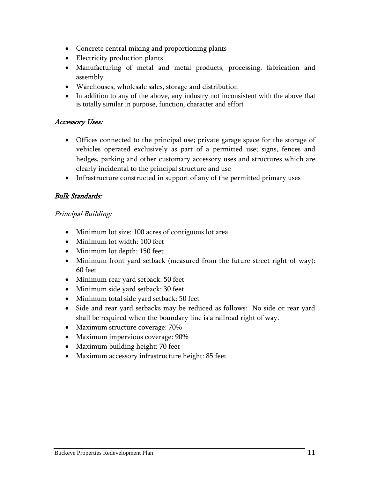- Concrete central mixing and proportioning plants
- Electricity production plants
- Manufacturing of metal and metal products, processing, fabrication and assembly
- Warehouses, wholesale sales, storage and distribution
- In addition to any of the above, any industry not inconsistent with the above that is totally similar in purpose, function, character and effort

#### Accessory Uses:

- Offices connected to the principal use; private garage space for the storage of vehicles operated exclusively as part of a permitted use; signs, fences and hedges, parking and other customary accessory uses and structures which are clearly incidental to the principal structure and use
- Infrastructure constructed in support of any of the permitted primary uses

# Bulk Standards:

## Principal Building:

- Minimum lot size: 100 acres of contiguous lot area
- Minimum lot width: 100 feet
- Minimum lot depth: 150 feet
- Minimum front yard setback (measured from the future street right-of-way): 60 feet
- Minimum rear yard setback: 50 feet
- Minimum side yard setback: 30 feet
- Minimum total side yard setback: 50 feet
- Side and rear yard setbacks may be reduced as follows: No side or rear yard shall be required when the boundary line is a railroad right of way.
- Maximum structure coverage: 70%
- Maximum impervious coverage: 90%
- Maximum building height: 70 feet
- Maximum accessory infrastructure height: 85 feet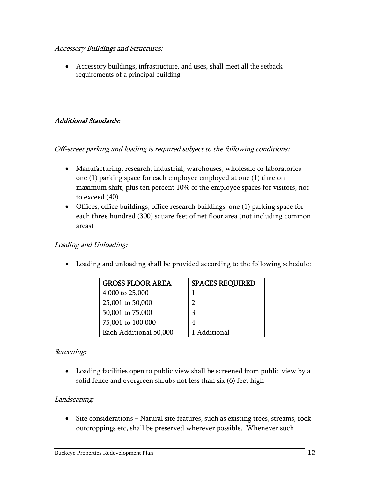#### Accessory Buildings and Structures:

 Accessory buildings, infrastructure, and uses, shall meet all the setback requirements of a principal building

## Additional Standards:

## Off-street parking and loading is required subject to the following conditions:

- Manufacturing, research, industrial, warehouses, wholesale or laboratories one (1) parking space for each employee employed at one (1) time on maximum shift, plus ten percent 10% of the employee spaces for visitors, not to exceed (40)
- Offices, office buildings, office research buildings: one (1) parking space for each three hundred (300) square feet of net floor area (not including common areas)

#### Loading and Unloading:

Loading and unloading shall be provided according to the following schedule:

| <b>GROSS FLOOR AREA</b> | <b>SPACES REQUIRED</b> |
|-------------------------|------------------------|
| 4,000 to 25,000         |                        |
| 25,001 to 50,000        | רי                     |
| 50,001 to 75,000        | З                      |
| 75,001 to 100,000       |                        |
| Each Additional 50,000  | 1 Additional           |

#### Screening:

 Loading facilities open to public view shall be screened from public view by a solid fence and evergreen shrubs not less than six (6) feet high

#### Landscaping:

• Site considerations – Natural site features, such as existing trees, streams, rock outcroppings etc, shall be preserved wherever possible. Whenever such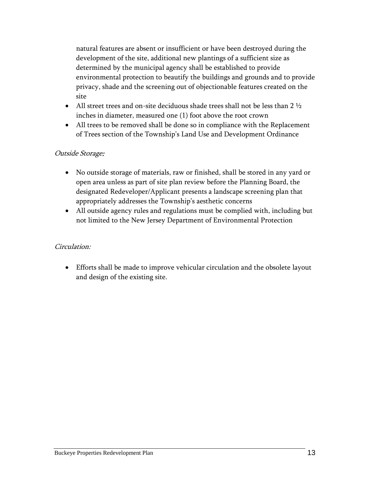natural features are absent or insufficient or have been destroyed during the development of the site, additional new plantings of a sufficient size as determined by the municipal agency shall be established to provide environmental protection to beautify the buildings and grounds and to provide privacy, shade and the screening out of objectionable features created on the site

- All street trees and on-site deciduous shade trees shall not be less than 2  $\frac{1}{2}$ inches in diameter, measured one (1) foot above the root crown
- All trees to be removed shall be done so in compliance with the Replacement of Trees section of the Township's Land Use and Development Ordinance

## Outside Storage:

- No outside storage of materials, raw or finished, shall be stored in any yard or open area unless as part of site plan review before the Planning Board, the designated Redeveloper/Applicant presents a landscape screening plan that appropriately addresses the Township's aesthetic concerns
- All outside agency rules and regulations must be complied with, including but not limited to the New Jersey Department of Environmental Protection

#### Circulation:

 Efforts shall be made to improve vehicular circulation and the obsolete layout and design of the existing site.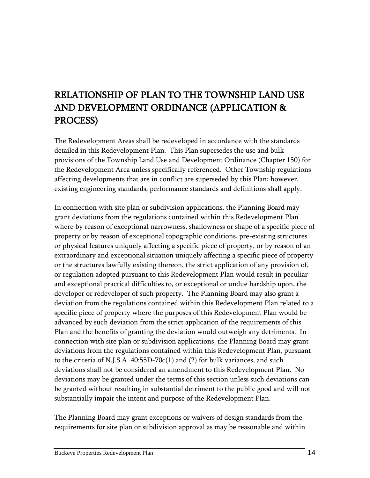# <span id="page-16-0"></span>RELATIONSHIP OF PLAN TO THE TOWNSHIP LAND USE AND DEVELOPMENT ORDINANCE (APPLICATION & PROCESS)

The Redevelopment Areas shall be redeveloped in accordance with the standards detailed in this Redevelopment Plan. This Plan supersedes the use and bulk provisions of the Township Land Use and Development Ordinance (Chapter 150) for the Redevelopment Area unless specifically referenced. Other Township regulations affecting developments that are in conflict are superseded by this Plan; however, existing engineering standards, performance standards and definitions shall apply.

In connection with site plan or subdivision applications, the Planning Board may grant deviations from the regulations contained within this Redevelopment Plan where by reason of exceptional narrowness, shallowness or shape of a specific piece of property or by reason of exceptional topographic conditions, pre-existing structures or physical features uniquely affecting a specific piece of property, or by reason of an extraordinary and exceptional situation uniquely affecting a specific piece of property or the structures lawfully existing thereon, the strict application of any provision of, or regulation adopted pursuant to this Redevelopment Plan would result in peculiar and exceptional practical difficulties to, or exceptional or undue hardship upon, the developer or redeveloper of such property. The Planning Board may also grant a deviation from the regulations contained within this Redevelopment Plan related to a specific piece of property where the purposes of this Redevelopment Plan would be advanced by such deviation from the strict application of the requirements of this Plan and the benefits of granting the deviation would outweigh any detriments. In connection with site plan or subdivision applications, the Planning Board may grant deviations from the regulations contained within this Redevelopment Plan, pursuant to the criteria of N.J.S.A. 40:55D-70c(1) and (2) for bulk variances, and such deviations shall not be considered an amendment to this Redevelopment Plan. No deviations may be granted under the terms of this section unless such deviations can be granted without resulting in substantial detriment to the public good and will not substantially impair the intent and purpose of the Redevelopment Plan.

The Planning Board may grant exceptions or waivers of design standards from the requirements for site plan or subdivision approval as may be reasonable and within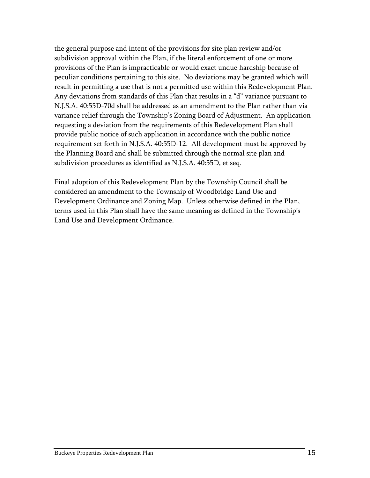the general purpose and intent of the provisions for site plan review and/or subdivision approval within the Plan, if the literal enforcement of one or more provisions of the Plan is impracticable or would exact undue hardship because of peculiar conditions pertaining to this site. No deviations may be granted which will result in permitting a use that is not a permitted use within this Redevelopment Plan. Any deviations from standards of this Plan that results in a "d" variance pursuant to N.J.S.A. 40:55D-70d shall be addressed as an amendment to the Plan rather than via variance relief through the Township's Zoning Board of Adjustment. An application requesting a deviation from the requirements of this Redevelopment Plan shall provide public notice of such application in accordance with the public notice requirement set forth in N.J.S.A. 40:55D-12. All development must be approved by the Planning Board and shall be submitted through the normal site plan and subdivision procedures as identified as N.J.S.A. 40:55D, et seq.

Final adoption of this Redevelopment Plan by the Township Council shall be considered an amendment to the Township of Woodbridge Land Use and Development Ordinance and Zoning Map. Unless otherwise defined in the Plan, terms used in this Plan shall have the same meaning as defined in the Township's Land Use and Development Ordinance.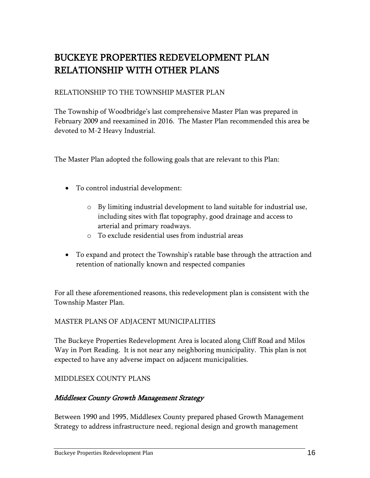# <span id="page-18-0"></span>BUCKEYE PROPERTIES REDEVELOPMENT PLAN RELATIONSHIP WITH OTHER PLANS

# RELATIONSHIP TO THE TOWNSHIP MASTER PLAN

The Township of Woodbridge's last comprehensive Master Plan was prepared in February 2009 and reexamined in 2016. The Master Plan recommended this area be devoted to M-2 Heavy Industrial.

The Master Plan adopted the following goals that are relevant to this Plan:

- To control industrial development:
	- o By limiting industrial development to land suitable for industrial use, including sites with flat topography, good drainage and access to arterial and primary roadways.
	- o To exclude residential uses from industrial areas
- To expand and protect the Township's ratable base through the attraction and retention of nationally known and respected companies

For all these aforementioned reasons, this redevelopment plan is consistent with the Township Master Plan.

#### MASTER PLANS OF ADJACENT MUNICIPALITIES

The Buckeye Properties Redevelopment Area is located along Cliff Road and Milos Way in Port Reading. It is not near any neighboring municipality. This plan is not expected to have any adverse impact on adjacent municipalities.

#### MIDDLESEX COUNTY PLANS

#### Middlesex County Growth Management Strategy

Between 1990 and 1995, Middlesex County prepared phased Growth Management Strategy to address infrastructure need, regional design and growth management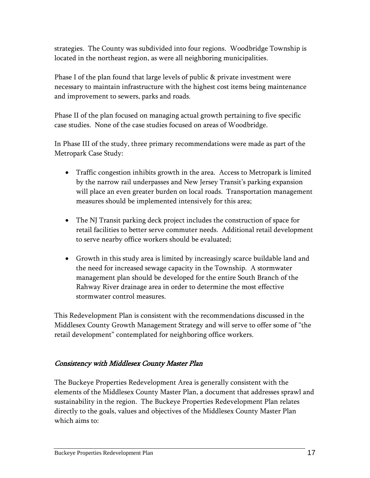strategies. The County was subdivided into four regions. Woodbridge Township is located in the northeast region, as were all neighboring municipalities.

Phase I of the plan found that large levels of public & private investment were necessary to maintain infrastructure with the highest cost items being maintenance and improvement to sewers, parks and roads.

Phase II of the plan focused on managing actual growth pertaining to five specific case studies. None of the case studies focused on areas of Woodbridge.

In Phase III of the study, three primary recommendations were made as part of the Metropark Case Study:

- Traffic congestion inhibits growth in the area. Access to Metropark is limited by the narrow rail underpasses and New Jersey Transit's parking expansion will place an even greater burden on local roads. Transportation management measures should be implemented intensively for this area;
- The NJ Transit parking deck project includes the construction of space for retail facilities to better serve commuter needs. Additional retail development to serve nearby office workers should be evaluated;
- Growth in this study area is limited by increasingly scarce buildable land and the need for increased sewage capacity in the Township. A stormwater management plan should be developed for the entire South Branch of the Rahway River drainage area in order to determine the most effective stormwater control measures.

This Redevelopment Plan is consistent with the recommendations discussed in the Middlesex County Growth Management Strategy and will serve to offer some of "the retail development" contemplated for neighboring office workers.

# Consistency with Middlesex County Master Plan

The Buckeye Properties Redevelopment Area is generally consistent with the elements of the Middlesex County Master Plan, a document that addresses sprawl and sustainability in the region. The Buckeye Properties Redevelopment Plan relates directly to the goals, values and objectives of the Middlesex County Master Plan which aims to: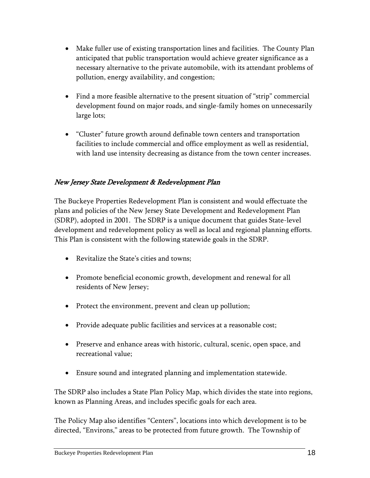- Make fuller use of existing transportation lines and facilities. The County Plan anticipated that public transportation would achieve greater significance as a necessary alternative to the private automobile, with its attendant problems of pollution, energy availability, and congestion;
- Find a more feasible alternative to the present situation of "strip" commercial development found on major roads, and single-family homes on unnecessarily large lots;
- "Cluster" future growth around definable town centers and transportation facilities to include commercial and office employment as well as residential, with land use intensity decreasing as distance from the town center increases.

# New Jersey State Development & Redevelopment Plan

The Buckeye Properties Redevelopment Plan is consistent and would effectuate the plans and policies of the New Jersey State Development and Redevelopment Plan (SDRP), adopted in 2001. The SDRP is a unique document that guides State-level development and redevelopment policy as well as local and regional planning efforts. This Plan is consistent with the following statewide goals in the SDRP.

- Revitalize the State's cities and towns;
- Promote beneficial economic growth, development and renewal for all residents of New Jersey;
- Protect the environment, prevent and clean up pollution;
- Provide adequate public facilities and services at a reasonable cost;
- Preserve and enhance areas with historic, cultural, scenic, open space, and recreational value;
- Ensure sound and integrated planning and implementation statewide.

The SDRP also includes a State Plan Policy Map, which divides the state into regions, known as Planning Areas, and includes specific goals for each area.

The Policy Map also identifies "Centers", locations into which development is to be directed, "Environs," areas to be protected from future growth. The Township of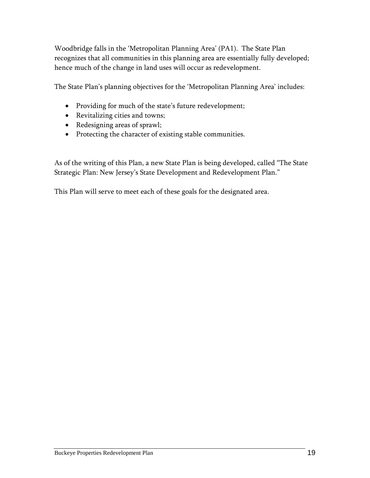Woodbridge falls in the 'Metropolitan Planning Area' (PA1). The State Plan recognizes that all communities in this planning area are essentially fully developed; hence much of the change in land uses will occur as redevelopment.

The State Plan's planning objectives for the 'Metropolitan Planning Area' includes:

- Providing for much of the state's future redevelopment;
- Revitalizing cities and towns;
- Redesigning areas of sprawl;
- Protecting the character of existing stable communities.

As of the writing of this Plan, a new State Plan is being developed, called "The State Strategic Plan: New Jersey's State Development and Redevelopment Plan."

This Plan will serve to meet each of these goals for the designated area.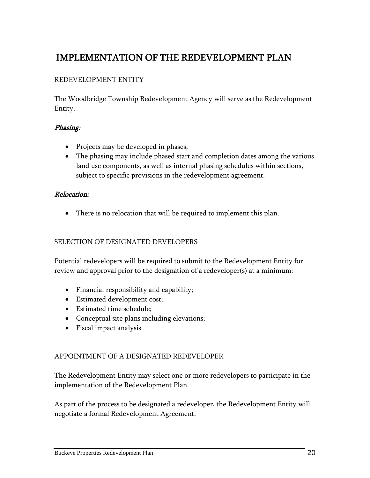# <span id="page-22-0"></span>IMPLEMENTATION OF THE REDEVELOPMENT PLAN

## REDEVELOPMENT ENTITY

The Woodbridge Township Redevelopment Agency will serve as the Redevelopment Entity.

#### Phasing:

- Projects may be developed in phases;
- The phasing may include phased start and completion dates among the various land use components, as well as internal phasing schedules within sections, subject to specific provisions in the redevelopment agreement.

#### Relocation:

There is no relocation that will be required to implement this plan.

#### SELECTION OF DESIGNATED DEVELOPERS

Potential redevelopers will be required to submit to the Redevelopment Entity for review and approval prior to the designation of a redeveloper(s) at a minimum:

- Financial responsibility and capability;
- Estimated development cost;
- Estimated time schedule;
- Conceptual site plans including elevations;
- Fiscal impact analysis.

#### APPOINTMENT OF A DESIGNATED REDEVELOPER

The Redevelopment Entity may select one or more redevelopers to participate in the implementation of the Redevelopment Plan.

As part of the process to be designated a redeveloper, the Redevelopment Entity will negotiate a formal Redevelopment Agreement.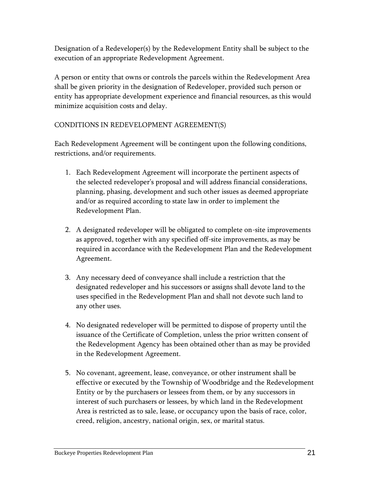Designation of a Redeveloper(s) by the Redevelopment Entity shall be subject to the execution of an appropriate Redevelopment Agreement.

A person or entity that owns or controls the parcels within the Redevelopment Area shall be given priority in the designation of Redeveloper, provided such person or entity has appropriate development experience and financial resources, as this would minimize acquisition costs and delay.

# CONDITIONS IN REDEVELOPMENT AGREEMENT(S)

Each Redevelopment Agreement will be contingent upon the following conditions, restrictions, and/or requirements.

- 1. Each Redevelopment Agreement will incorporate the pertinent aspects of the selected redeveloper's proposal and will address financial considerations, planning, phasing, development and such other issues as deemed appropriate and/or as required according to state law in order to implement the Redevelopment Plan.
- 2. A designated redeveloper will be obligated to complete on-site improvements as approved, together with any specified off-site improvements, as may be required in accordance with the Redevelopment Plan and the Redevelopment Agreement.
- 3. Any necessary deed of conveyance shall include a restriction that the designated redeveloper and his successors or assigns shall devote land to the uses specified in the Redevelopment Plan and shall not devote such land to any other uses.
- 4. No designated redeveloper will be permitted to dispose of property until the issuance of the Certificate of Completion, unless the prior written consent of the Redevelopment Agency has been obtained other than as may be provided in the Redevelopment Agreement.
- 5. No covenant, agreement, lease, conveyance, or other instrument shall be effective or executed by the Township of Woodbridge and the Redevelopment Entity or by the purchasers or lessees from them, or by any successors in interest of such purchasers or lessees, by which land in the Redevelopment Area is restricted as to sale, lease, or occupancy upon the basis of race, color, creed, religion, ancestry, national origin, sex, or marital status.